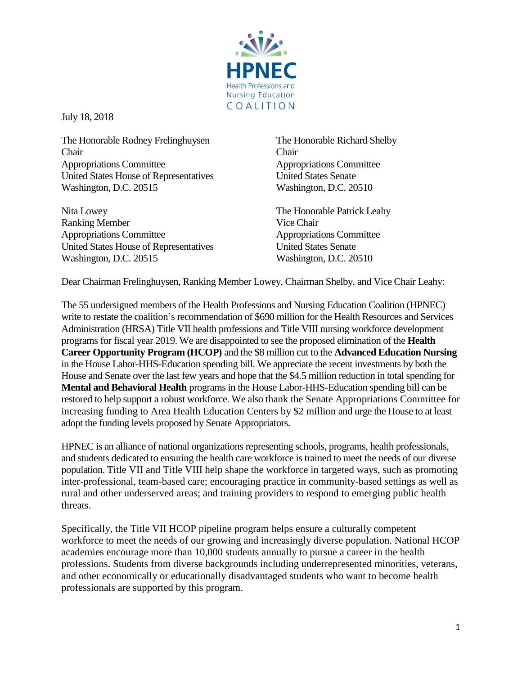

July 18, 2018

The Honorable Rodney Frelinghuysen Chair Appropriations Committee United States House of Representatives Washington, D.C. 20515

Nita Lowey Ranking Member Appropriations Committee United States House of Representatives Washington, D.C. 20515

The Honorable Richard Shelby Chair Appropriations Committee United States Senate Washington, D.C. 20510

The Honorable Patrick Leahy Vice Chair Appropriations Committee United States Senate Washington, D.C. 20510

Dear Chairman Frelinghuysen, Ranking Member Lowey, Chairman Shelby, and Vice Chair Leahy:

The 55 undersigned members of the Health Professions and Nursing Education Coalition (HPNEC) write to restate the coalition's recommendation of \$690 million for the Health Resources and Services Administration (HRSA) Title VII health professions and Title VIII nursing workforce development programs for fiscal year 2019. We are disappointed to see the proposed elimination of the **Health Career Opportunity Program (HCOP)** and the \$8 million cut to the **Advanced Education Nursing** in the House Labor-HHS-Education spending bill. We appreciate the recent investments by both the House and Senate over the last few years and hope that the \$4.5 million reduction in total spending for **Mental and Behavioral Health** programs in the House Labor-HHS-Education spending bill can be restored to help support a robust workforce. We also thank the Senate Appropriations Committee for increasing funding to Area Health Education Centers by \$2 million and urge the House to at least adopt the funding levels proposed by Senate Appropriators.

HPNEC is an alliance of national organizations representing schools, programs, health professionals, and students dedicated to ensuring the health care workforce is trained to meet the needs of our diverse population. Title VII and Title VIII help shape the workforce in targeted ways, such as promoting inter-professional, team-based care; encouraging practice in community-based settings as well as rural and other underserved areas; and training providers to respond to emerging public health threats.

Specifically, the Title VII HCOP pipeline program helps ensure a culturally competent workforce to meet the needs of our growing and increasingly diverse population. National HCOP academies encourage more than 10,000 students annually to pursue a career in the health professions. Students from diverse backgrounds including underrepresented minorities, veterans, and other economically or educationally disadvantaged students who want to become health professionals are supported by this program.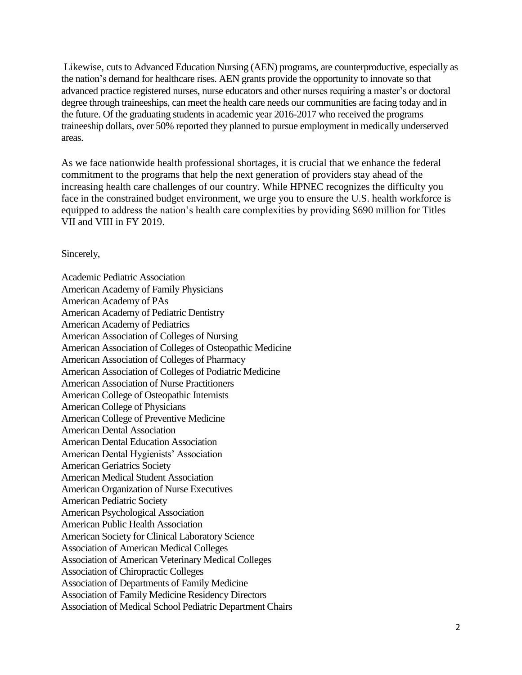Likewise, cuts to Advanced Education Nursing (AEN) programs, are counterproductive, especially as the nation's demand for healthcare rises. AEN grants provide the opportunity to innovate so that advanced practice registered nurses, nurse educators and other nurses requiring a master's or doctoral degree through traineeships, can meet the health care needs our communities are facing today and in the future. Of the graduating students in academic year 2016-2017 who received the programs traineeship dollars, over 50% reported they planned to pursue employment in medically underserved areas.

As we face nationwide health professional shortages, it is crucial that we enhance the federal commitment to the programs that help the next generation of providers stay ahead of the increasing health care challenges of our country. While HPNEC recognizes the difficulty you face in the constrained budget environment, we urge you to ensure the U.S. health workforce is equipped to address the nation's health care complexities by providing \$690 million for Titles VII and VIII in FY 2019.

Sincerely,

Academic Pediatric Association American Academy of Family Physicians American Academy of PAs American Academy of Pediatric Dentistry American Academy of Pediatrics American Association of Colleges of Nursing American Association of Colleges of Osteopathic Medicine American Association of Colleges of Pharmacy American Association of Colleges of Podiatric Medicine American Association of Nurse Practitioners American College of Osteopathic Internists American College of Physicians American College of Preventive Medicine American Dental Association American Dental Education Association American Dental Hygienists' Association American Geriatrics Society American Medical Student Association American Organization of Nurse Executives American Pediatric Society American Psychological Association American Public Health Association American Society for Clinical Laboratory Science Association of American Medical Colleges Association of American Veterinary Medical Colleges Association of Chiropractic Colleges Association of Departments of Family Medicine Association of Family Medicine Residency Directors Association of Medical School Pediatric Department Chairs